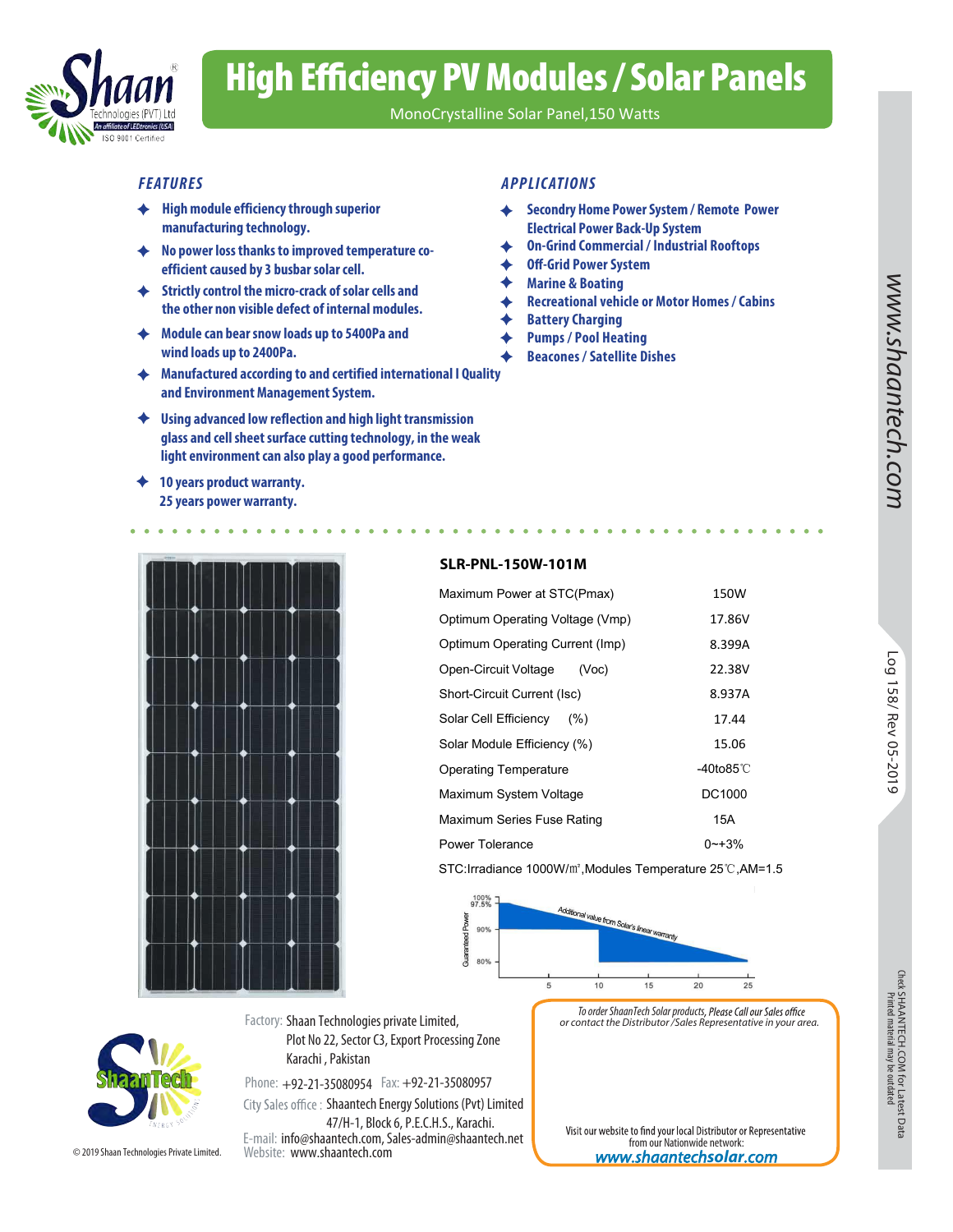

# High Efficiency PV Modules / Solar Panels

MonoCrystalline Solar Panel,150 Watts

- **High module efficiency through superior manufacturing technology.**
- **No power loss thanks to improved temperature coefficient caused by 3 busbar solar cell.**
- **Strictly control the micro-crack of solar cells and the other non visible defect of internal modules.**
- **Module can bear snow loads up to 5400Pa and wind loads up to 2400Pa.**
- **Manufactured according to and certified international I Quality and Environment Management System.**
- **Using advanced low reflection and high light transmission glass and cell sheet surface cutting technology, in the weak light environment can also play a good performance.**
- **10 years product warranty. 25 years power warranty.**

### *FEATURES APPLIC ATION S*

- **Secondry Home Power System / Remote Power Electrical Power Back-Up System**
- **On-Grind Commercial / Industrial Rooftops**
- **Off-Grid Power System**
- **Marine & Boating**
- **Recreational vehicle or Motor Homes / Cabins**
- **Battery Charging** ♦
- **Pumps / Pool Heating** 
	- **Beacones / Satellite Dishes**

### **SLR-PNL-150W-101M**

| nission<br>he weak<br>e.                                                   | tech.com  |                      |
|----------------------------------------------------------------------------|-----------|----------------------|
|                                                                            |           |                      |
| <b>SLR-PNL-150W-101M</b>                                                   |           |                      |
| Maximum Power at STC(Pmax)                                                 | 150W      |                      |
| Optimum Operating Voltage (Vmp)                                            | 17.86V    |                      |
| Optimum Operating Current (Imp)                                            | 8.399A    |                      |
| Open-Circuit Voltage<br>(Voc)                                              | 22.38V    |                      |
| Short-Circuit Current (Isc)                                                | 8.937A    |                      |
| Solar Cell Efficiency<br>(% )                                              | 17.44     |                      |
| Solar Module Efficiency (%)                                                | 15.06     |                      |
| <b>Operating Temperature</b>                                               | -40to85°C | Log 158/ Rev 05-2019 |
| Maximum System Voltage                                                     | DC1000    |                      |
| Maximum Series Fuse Rating                                                 | 15A       |                      |
| <b>Power Tolerance</b>                                                     | $0 - +3%$ |                      |
| STC: Irradiance 1000W/m <sup>2</sup> , Modules Temperature 25°C, AM=1.5    |           |                      |
| 100%<br>97.5%<br>Additional value from Solar's linear warr<br>Power<br>90% |           |                      |



Phone: +92-21-35080954 Fax: +92-21-35080957 City Sales office: Shaantech Energy Solutions (Pvt) Limited

E-mail: info@shaantech.com, Sales-admin@shaantech.net Website: www.shaantech.com 47/H-1, Block 6, P.E.C.H.S., Karachi.

Plot No 22, Sector C3, Export Processing Zone

Factory: Shaan Technologies private Limited,

Karachi , Pakistan

*To order ShaanTech Solar products or contact the Distributor /Sales Representative in your area.*

Visit our website to find your local Distributor or Representative from our Nationwide network: *www.shaantech***solar***.com*